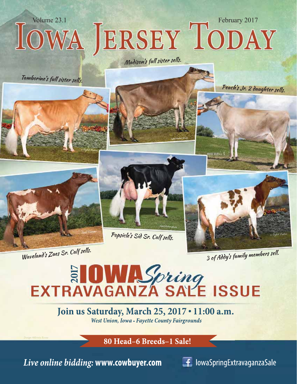

Waveland's Zues Sr. Calf sells.

3 of Addy's family members sell.

# EXTRAVAGANZA SALE ISSUE

### Join us Saturday, March 25, 2017 . 11:00 a.m. West Union, Iowa • Fayette County Fairgrounds

80 Head-6 Breeds-1 Sale!

Live online bidding: www.cowbuyer.com

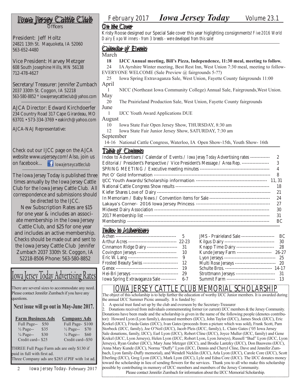**Officers** 

President: Jeff Holtz 24821 13th St. Maquoketa, IA 52060 563-652-4480

Vice President: Harvey Metzger 608 South Josephine Hills, MN 56138 712-478-4627

Secretary/Treasurer: Jennifer Zumbach 2037 330th St. Coggon, IA 52218 563-580-8852 \* iowajerseycattleclub@yahoo.com

AJCA Director: Edward Kirchdoerfer 234 Country Road 317 Cape Girardeau, MO 63701 • 573-334-3769 • eakirch@yahoo.com

#### AJCA-NAJ Representative:

Check out our IJCC page on the AJCA website www.usjersey.com! Also, join us on facebook... **I** Iowajerseycattleclub

The Iowa Jersey Today is published three times annually by the Iowa Jersey Cattle Club for the Iowa Jersey Cattle Club. All correspondence and submissions should

be directed to the IJCC. New Subscription Rates are \$15 for one year & includes an associate membership in the Iowa Jersey Cattle Club, and \$25 for one year and includes an active membership. Checks should be made out and sent to the Iowa Jersey Cattle Club Jennifer Zumbach 2037 330th St. Coggon, IA 52218-8506 Phone: 563-580-8852

### Iowa Jersey Today Advertising Rates

There are several sizes to accommodate any need. Please contact Jennifer Zumbach if you have any questions.

Next issue will go out in May-June 2017.

| <b>Farm Business Ads</b>     | <b>Company Ads</b>           |
|------------------------------|------------------------------|
| Full Page--<br>\$50          | Full Page-\$100              |
| \$35<br>$\frac{1}{2}$ Page-- | \$70<br>$\frac{1}{2}$ Page-- |
| $\frac{1}{4}$ Page--<br>\$30 | $\frac{1}{4}$ Page-- \$60    |
| Credit card--\$25            | Credit card--\$50            |

THREE Full Page Farm ads are only \$130 if paid in full with first ad. Three Company ads are \$285 if PIF with 1st ad.

# *February 2017 Iowa Jersey Today Volume 23.1 Iowa Jersey Cattle Club*

#### *On the Cover*

Kristy Roose designed our Special Sale cover this year higlighting consignments! *Five 2016 World Dairy Expo Winners - from 3 breeds - were developed from this sale!*

#### *Calendar of Events*

March

- 18 IJCC Annual meeting, Bill's Pizza, Independence, 11:30 meal, meeting to follow.
- 24 IA Ayrshire Winter meeting, Best Rest Inn, West Union 7:30 meal, meeting to follow-EVERYONE WELCOME (Sale Preview @ fairgrounds 5-??)
- 25 Iowa Spring Extravaganza Sale, West Union, Fayette County fairgrounds 11:00 April
- 1 NICC (Northeast Iowa Community College) Annual Sale, Fairgrounds,West Union. May
- 20 The Prairieland Production Sale, West Union, Fayette County fairgrounds June
	- 1 IJCC Youth Award Applications DUE

August

- 10 Iowa State Fair Open Jersey Show, THURSDAY, 8:30 am
- 12 Iowa State Fair Junior Jersey Show, SATURDAY, 7:30 am

September

14-16 National Cattle Congress, Waterloo, IA Open Show-15th, Youth Show- 16th

#### *Table of Contents*

| <u>LWUN VI SUINDING</u>                                                                              |                |
|------------------------------------------------------------------------------------------------------|----------------|
| Index to Advertisers / Calendar of Events / <i>Iowa Jersey Today</i> Advertising rates ------------- |                |
| Editorial / President's Perspective / Vice President's Message / Area Rep. -----------------         | 3              |
|                                                                                                      | $\overline{4}$ |
|                                                                                                      | 8              |
|                                                                                                      |                |
|                                                                                                      | 18             |
|                                                                                                      | 21             |
|                                                                                                      | 24             |
|                                                                                                      | 27             |
|                                                                                                      | 30             |
|                                                                                                      | 31             |
|                                                                                                      | BC             |
|                                                                                                      |                |

#### *Index to Advertisers*

| Arthur Acres ------------------------------- 22-23 |         |
|----------------------------------------------------|---------|
| Cinnamon Ridge Dairy -------------------- 31       |         |
| Covington Jerseys ---------------------------      | 10      |
| Eric W. Lang ---------------------------------     | 9       |
| Frosted Beauty Swiss ----------------------        | 12      |
|                                                    | 19      |
| Hei-Bri Jerseys -------------------------------    | 29      |
| Iowa Spring Extravaganza Sale ----------           | $6 - 7$ |

| JMS - Prairieland Sale ----------------------       | RС      |
|-----------------------------------------------------|---------|
| Kilgus Dairy ----------------------------------     | 30      |
| Knapp Time Dairy -------------------------          | 28      |
| Kunde Jersey Farm -----------------------           | $26-27$ |
| Lyon Jerseys ----------------------------------     | 25      |
| Multi Rose Jerseys --------------------------- 20   |         |
| Schulte Bros. ------------------------------- 14-17 |         |
| Strottmann Jerseys ---------------------------      | -31     |
| Summit Farm ---------------------------------       |         |
|                                                     |         |

### IFRSEY CATTLE CLUB MEMORIA

The object of this scholarship is to help further the education of worthy IJCC Junior members. It is awarded during the annual IJCC Summer Picnic annually. It is funded by:

1. A special trust fund set up by the club and overseen by the Secretary-Treasurer

2. Donations received from individuals commemorating former (or current) IJCC members & the Jersey Community. Donations have been made and the scholarship is given in the name of the following people (denotes contributor): Howard Lyon (Lyon family), deceased members (IJCC), John Taylor (IJCC), James Stock (IJCC), Eric Krekel (IJCC), Frieda Gates (IJCC), Ivan Gates (proceeds from a picture which was sold), Frank Scott, Pam Storbeck (IJCC, family), Joe O'Neil (IJCC), Jacob Pleis (IJCC, family), L. Claire Gates ('05 Iowa Jersey Sale donations, family, IJCC), Earl Lyon (IJCC), Robert Cline (IJCC), Joyce Muller (IJCC, family) and Gene Krekel (IJCC, Lyon Jerseys), Helen Lyon (IJCC, Robert Lyon, Lyon Jerseys), Russell "Bud" Lyon (IJCC, Lyon Jerseys), Ryan Graber (IJCC), Mary June Metzger (IJCC), and Brodie Lantzky (IJCC), Don Bauwens (IJCC), Anna Mary Kunde (IJCC), Norma "Duffy" Lyon (IJCC, Dennis and Cheryl Cline, Dave and Jennifer Zumbach, Lyon family-Duffy memorial), and Wendell Nicklin (IJCC), Arla Lyon (IJCC), Carole Core (IJCC), Scott Eberling (IJCC), Greg Lyon (IJCC), Mark Lyon (IJCC), Lyle and Edna Core (IJCC). The IJCC donates money toward the scholarship in lieu of sending flowers for the services. Thank you to all who make this scholarship possible by contributing in memory of IJCC members and members of the Jersey Community.

Please contact Jennifer Zumbach for information about the IJCC Memorial Scholarship.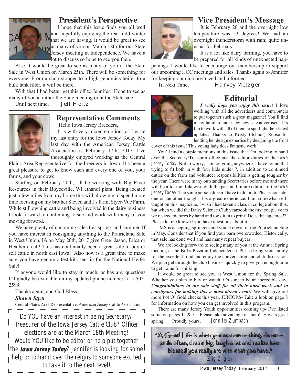

#### President's Perspective

I hope that this issue finds you all well and hopefully enjoying the real mild winter that we are having. It would be great to see as many of you on March 18th for our State Jersey meeting in Independence. We have a lot to discuss so hope to see you then.

Also it would be great to see as many of you at the State Sale in West Union on March 25th. There will be something for everyone. From a shop stopper to a high genomics heifer to a bulk tank filler, it will be there.

With that I had better get this off to Jennifer. Hope to see as many of you at either the State meeting or at the State sale.

Until next time, Jeff Holtz



#### Representative Comments

Hello Iowa Jersey Breeders,

It is with very mixed emotions as I write my last entry for the Iowa Jersey Today. My last day with the American Jersey Cattle Association is February 17th, 2017. I've thoroughly enjoyed working as the Central

Plains Area Representative for the breeders in Iowa. It's been a great pleasure to get to know each and every one of you, your farms, and your cows!

Starting on February 20th, I'll be working with Big River Resources in their Boyceville, WI ethanol plant. Being located just a few miles from my home this will allow me to spend more time focusing on my brother Steven and I's farm, Styer-Vue Farm. While still owning cattle and being involved in the dairy business I look forward to continuing to see and work with many of you moving forward.

We have plenty of upcoming sales this spring, and summer. If you have interest in consigning anything to the Prairieland Sale in West Union, IA on May 20th, 2017 give Greg, Jason, Erica or Heather a call! This has continually been a great sale to buy or sell cattle in north east Iowa! Also now is a great time to make sure you have genomic test kits sent in for the National Heifer Sale!

If anyone would like to stay in touch, or has any questions I'll gladly be available on my updated phone number, 715-505- 2599.

Thanks again, and God Bless,

#### *Shawn Styer*

Central Plains Area Representative, American Jersey Cattle Association

Do YOU have an interest in being Secretary/ Treasurer of the Iowa Jersey Cattle Club? Officer elections are at the March 18th Meeting! Would YOU like to be editor or help put together Ithe lowa Jersey Today? Jennifer is looking for some I help or to hand over the reigns to someone excited to take it to the next level!

#### Vice President's Message

It is February 20 and the overnight low temperature was 53 degrees! We had an overnight thunderstorm with rain; quite unusual for February.

It is a lot like dairy farming, you have to be prepared for all kinds of unexpected hap-

penings. I would like to encourage our membership to support our upcoming IJCC meetings and sales. Thanks again to Jennifer for keeping our club organized and informed.

Til Next Time, Harvey Metzger



### **Editorial**

*I really hope you enjoy this issue!* I love working with all the advertisers and contributers to put together such a great magazine! You'll find many familiar and a few new sale advertisers. It's fun to work with all of them to spotlight their latest updates. Thanks to Kristy (Schoof) Roose for lending her design expertise by designing the front

cover of this issue! This young lady does fantastic work!

You'll find a couple mentions in this issue that I'm looking to hand over the Secretary/Treasurer office and the editor duties of the *Iowa Jersey Today*. Not to worry; I'm not going anywhere. I have found that trying to fit both in with four kids under 7, in addition to continued duties on the farm and volunteer responsibilities is getting tougher by the year. There were many outstanding Secretaries before me and there will be after me. Likewise with the past and future editors of the *Iowa Jersey Today*. The same person doesn't have to do both. Please consider one or the other though; it is a great experience. I am somewhat selftaught on this magazine. I wish I had taken a class in college about this, but when we did the Dairy Science Club yearbook the first couple years we resized pictures by hand and took it in to print! Does that age me?!?! Please let me know if you have questions about it.

JMS is accepting springers and young cows for the Prairieland Sale in May. Consider that if you find your barn overcrowded. Historically, that sale has done well and has many repeat buyers!

We are looking forward to seeing many of you at the Annual Spring meeting at the Bill's Pizza in Independence. Please bring your family for the excellent food and enjoy the conversation and club discussion. We plan get through the club business quickly to give you enough time to get home for milking.

It would be great to see you at West Union for the Spring Sale. Whether you plan to buy or watch, it's sure to be an incredible day! *Congratulations to the sale sta*ff *for all their hard work and to consignors for making this a must-attend event!* We will give out more Pot O' Gold checks this year. JUNIORS- Take a look on page 8 for information on how you can get involved in this program.

There are many Jersey Youth opportunities coming up- I've listed some on pages 11 & 31. Please take advantage of them! Have a great spring! Proudly yours, *Jennifer Zumbach*

"A Good Life is when you assume nothing, do more, smile often, dream big, laugh a lot and realize how blessed you really are with what you have." Zig Zigler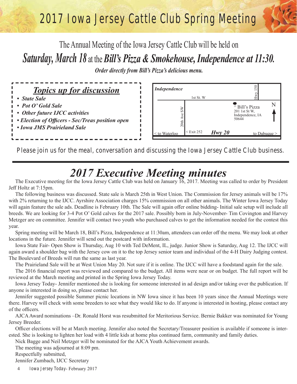# 2017 Iowa Jersey Cattle Club Spring Meeting

The Annual Meeting of the Iowa Jersey Cattle Club will be held on *Saturday, March 18* at the *Bill's Pizza & Smokehouse, Independence at 11:30. Order directly from Bill's Pizza's delicious menu.* 



*Please join us for the meal, conversation and discussing the Iowa Jersey Cattle Club business.*

# *2017 Executive Meeting minutes*

The Executive meeting for the Iowa Jersey Cattle Club was held on January 16, 2017. Meeting was called to order by President Jeff Holtz at 7:15pm.

The following business was discussed. State sale is March 25th in West Union. The Commission for Jersey animals will be 17% with 2% returning to the IJCC. Ayrshire Association charges 15% commission on all other animals. The Winter Iowa Jersey Today will again feature the sale ads. Deadline is February 10th. The Sale will again offer online bidding- Initial sale setup will include all breeds. We are looking for 3-4 Pot O' Gold calves for the 2017 sale. Possibly born in July-November- Tim Covington and Harvey Metzger are on committee. Jennifer will contact two youth who purchased calves to get the information needed for the contest this year.

Spring meeting will be March 18, Bill's Pizza, Independence at 11:30am, attendees can order off the menu. We may look at other locations in the future. Jennifer will send out the postcard with information.

Iowa State Fair- Open Show is Thursday, Aug 10 with Ted DeMent, IL, judge. Junior Show is Saturday, Aug 12. The IJCC will again award a shoulder bag with the Jersey cow on it to the top Jersey senior team and individual of the 4-H Dairy Judging contest. The Boulevard of Breeds will run the same as last year.

The Prairieland Sale will be at West Union May 20. Not sure if it is online. The IJCC will have a foodstand again for the sale.

The 2016 financial report was reviewed and compared to the budget. All items were near or on budget. The full report will be reviewed at the March meeting and printed in the Spring Iowa Jersey Today.

Iowa Jersey Today- Jennifer mentioned she is looking for someone interested in ad design and/or taking over the publication. If anyone is interested in doing so, please contact her.

Jennifer suggested possible Summer picnic locations in NW Iowa since it has been 10 years since the Annual Meetings were there. Harvey will check with some breeders to see what they would like to do. If anyone is interested in hosting, please contact any of the officers.

AJCA Award nominations –Dr. Ronald Horst was resubmitted for Meritorious Service. Bernie Bakker was nominated for Young Jersey Breeder.

Officer elections will be at March meeting. Jennifer also noted the Secretary/Treasurer position is available if someone is interested. She is looking to lighten her load with 4 little kids at home plus continued farm, community and family duties.

Nick Bagge and Neil Metzger will be nominated for the AJCA Youth Achievement awards.

The meeting was adjourned at 8:09 pm.

Respectfully submitted,

Jennifer Zumbach, IJCC Secretary

4 *Iowa Jersey Today*- February 2017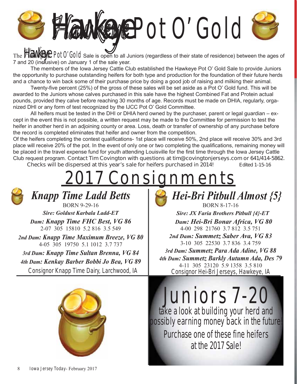

The **Hawkeye** Pot 0' Gold Sale is open to all Juniors (regardless of their state of residence) between the ages of 7 and 20 (inclusive) on January 1 of the sale year.

 The members of the Iowa Jersey Cattle Club established the Hawkeye Pot O' Gold Sale to provide Juniors the opportunity to purchase outstanding heifers for both type and production for the foundation of their future herds and a chance to win back some of their purchase price by doing a good job of raising and milking their animal.

Twenty-five percent (25%) of the gross of these sales will be set aside as a Pot O' Gold fund. This will be awarded to the Juniors whose calves purchased in this sale have the highest Combined Fat and Protein actual pounds, provided they calve before reaching 30 months of age. Records must be made on DHIA, regularly, organized DHI or any form of test recognized by the IJCC Pot O' Gold Committee.

 All heifers must be tested in the DHI or DHIA herd owned by the purchaser, parent or legal guardian – except in the event this is not possible, a written request may be made to the Committee for permission to test the heifer in another herd in an adjoining county or area. Loss, death or transfer of ownership of any purchase before the record is completed eliminates that heifer and owner from the competition.

Of the heifers completing the contest qualifications- 1st place will receive 50%. 2nd place will receive 30% and 3rd place will receive 20% of the pot. In the event of only one or two completing the qualifications, remaining money will be placed in the travel expense fund for youth attending Louisville for the first time through the Iowa Jersey Cattle Club request program. *Contact Tim Covington with questions at tim@covingtonjerseys.com or 641/414-5862. Checks will be dispersed at this year's sale for heifers purchased in 2014! Edited 1-15-16*

# 2017 Consignments

*Knapp Time Ladd Betts* BORN 9-29-16

*Sire: Goldust Karbala Ladd-ET Dam: Knapp Time FHC Best, VG 86* 2-07 305 15810 5.2 816 3.5 549

*2nd Dam: Knapp Time Maximum Breeze, VG 80* 4-05 305 19750 5.1 1012 3.7 737

*3rd Dam: Knapp Time Sultan Brenna, VG 84 4th Dam: Kenkay Barber Bobbi Jo Bea, VG 89*

Consignor Knapp Time Dairy, Larchwood, IA





BORN 8-17-16 *Sire: JX Faria Brothers Pitbull {4}-ET Dam: Hei-Bri Bonar Africa, VG 80* 4-00 298 21760 3.7 812 3.5 751 *2nd Dam: Summetz Saber Ava, VG 83* 3-10 305 22530 3.7 836 3.4 759 *3rd Dam: Summetz Para Ada Adine, VG 88 4th Dam: Summetz Barkly Autumn Ada, Des 79* 4-11 305 23120 5.9 1358 3.5 810 Consignor Hei-Bri Jerseys, Hawkeye, IA

Juniors 7-20 take a look at building your herd and possibly earning money back in the future!

Purchase one of these fine heifers at the 2017 Sale!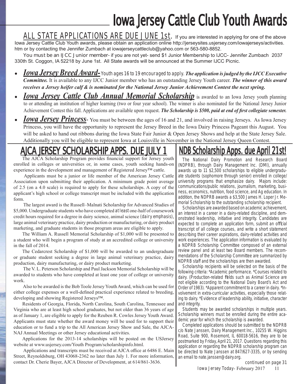# Iowa Jersey Cattle Club Youth Awards

ALL STATE APPLICATIONS ARE DUE JUNE 1st. If you are interested in applying for one of the above Iowa Jersey Cattle Club Youth awards, please obtain an application online http://jerseysites.usjersey.com/iowajerseys/activities. htm or by contacting the Jennifer Zumbach at iowajerseycattleclub@yahoo.com or 563-580-8852.

*You must be an IJCC Junior member-* if you are not yet- send \$1 Junior Membership to IJCC- Jennifer Zumbach 2037 330th St. Coggon, IA 52218 by June 1st. All State awards will be announced at the Summer IJCC Picnic.

- x *Iowa Jersey Breed Award- Youth ages 16 to 19 encouraged to apply. The application is judged by the IJCC Executive Committee.* It is available to any IJCC Junior member who has an outstanding Jersey Youth career. *The winner of this award receives a Jersey heifer calf & is nominated for the National Jersey Junior Achievement Contest the next spring.*
- *Iowa Jersey Cattle Club Annual Memorial Scholarship* is awarded to an Iowa Jersey youth planning to or attending an institution of higher learning (two or four year school). The winner is also nominated for the National Jersey Junior Achievement Contest this fall. Applications are available upon request. *The Scholarship is* \$500, *paid at end of first collegiate semester.*
- **Iowa Jersey Princess** You must be between the ages of 16 and 21, and involved in raising Jerseys. As Iowa Jersey Princess, you will have the opportunity to represent the Jersey Breed in the Iowa Dairy Princess Pageant this August. You will be asked to hand out ribbons during the Iowa State Fair Junior & Open Jersey Shows and help at the State Jersey Sale. Additionally you will be eligible to represent Iowa at Louisville in November in the National Jersey Queen Contest.

## AJCA JERSEY SCHOLARSHIP APPS. DUE JULY 1

The AJCA Scholarship Program provides financial support for Jersey youth enrolled in colleges or universities or, in some cases, youth seeking hands-on experience in the development and management of Registered Jersey™ cattle.

 Applicants must be a junior or life member of the American Jersey Cattle Association upon submitting their application. A minimum grade point average of 2.5 (on a 4.0 scale) is required to apply for these scholarships. A copy of the applicant's high school or college transcript must be included with the application form.

 The largest award is the Russell–Malnati Scholarship for Advanced Studies of \$5,000. Undergraduate students who have completed *at least* one-half of coursework credit hours required for a degree in dairy science, animal science *(dairy emphasis)*, large animal veterinary practice, dairy production or manufacturing, or dairy product marketing, and graduate students in those program areas are eligible to apply.

The William A. Russell Memorial Scholarship of \$1,000 will be presented to a student who will begin a program of study at an accredited college or university in the fall of 2014.

The Cedarcrest Scholarship of \$1,000 will be awarded to an undergraduate or graduate student seeking a degree in large animal veterinary practice, dairy production, dairy manufacturing, or dairy product marketing.

 The V. L. Peterson Scholarship and Paul Jackson Memorial Scholarship will be awarded to students who have completed at least one year of college or university work.

 Also to be awarded is the Bob Toole Jersey Youth Award, which can be used for either college expenses or a well-defined practical experience related to breeding, developing and showing Registered Jerseys™.

Residents of Georgia, Florida, North Carolina, South Carolina, Tennessee and Virginia who are at least high school graduates, but not older than 36 years of age as of January 1, are eligible to apply for the Reuben R. Cowles Jersey Youth Award. Applicants must state whether the award money will be used for to support their education or to fund a trip to the All American Jersey Show and Sale, the AJCA-NAJ Annual Meetings or other Jersey educational activities.

Applications for the 2013-14 scholarships will be posted on the USJersey website at www.usjersey.com/Youth Program/scholarshipinfo.html.

Applications and transcripts must be received at AJCA office at 6486 E. Main Street, Reynoldsburg, OH 43068-2362 no later than July 1. For more information, contact Dr. Cherie Bayer, AJCA Director of Development, at 614/861-3636.

# NDB Scholarship Apps. due April 21

The National Dairy Promotion and Research Board (NDPRB), through Dairy Management Inc. (DMI), annually awards up to 11 \$2,500 scholarships to eligible undergraduate students (sophomore through senior) enrolled in college/ university programs that emphasize dairy. Majors include: communications/public relations, journalism, marketing, business, economics, nutrition, food science, and Ag education. In addition, the NDPRB awards a \$3,500 James H. Loper Jr. Memorial Scholarship to the outstanding scholarship recipient.

Scholarships are awarded based on academic achievement, an interest in a career in a dairy-related discipline, and demonstrated leadership, initiative and integrity. Candidates are expected to complete an application form, submit an official transcript of all college courses, and write a short statement describing their career aspirations, dairy-related activities and work experiences. The application information is evaluated by a NDPRB Scholarship Committee composed of an external review panel and at least two Board members. The recommendations of the Scholarship Committee are summarized by NDPRB staff and the scholarships are then awarded.

Scholarship recipients will be selected on the basis of the following criteria: \*Academic performance. \*Courses related to dairy. (Production-related fields such as Animal Science are not eligible according to the National Dairy Board's Act and Order of 1983). \*Apparent commitment to a career in dairy. \*Involvement in extra-curricular activities, especially those relating to dairy. \*Evidence of leadership ability, initiative, character and integrity.

Students may be awarded scholarships in multiple years. Scholarship winners must be enrolled during the entire academic year for which the scholarship is awarded.

Completed applications should be submitted to the NDPRB c/o Nate Janssen, Dairy Management Inc., 10255 W. Higgins Road, Suite 900, Rosemont, IL 60018-5616, they are to be postmarked by Friday, April 21, 2017. Questions regarding this application or regarding the NDPRB scholarship program can be directed to Nate Janssen at 847/627-3335, or by sending an email to nate.janssen@dairy.org.

*continued on page 31*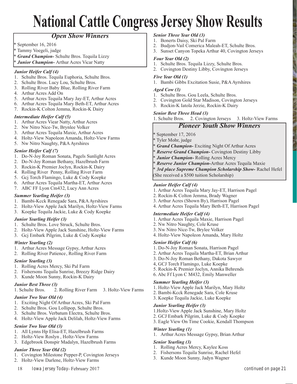# National Cattle Congress Jersey Show Results

#### *Open Show Winners*

- \* September 16, 2016
- \* Tammy Voegeli, judge
- \* *Grand Champion-* Schulte Bros. Tequila Lizzy
- *Junior Champion- Arthur Acres Vicar Natty*

#### *Junior Heifer Calf (4)*

- 1. Schulte Bros. Tequila Euphoria, Schulte Bros.
- 2. Schulte Bros. Lucy Lou, Schulte Bros.
- 3. Rolling River Baby Blue, Rolling River Farm
- 4. Arthur Acres Add On
- 5. Arthur Acres Tequila Mary Jay-ET, Arthur Acres
- 6. Arthur Acres Tequila Mary Beth-ET, Arthur Acres
- 7. Rockin-K Colton Jemma, Rockin-K Dairy

#### *Intermediate Heifer Calf (5)*

- 1. Arthur Acres Viear Natty, Arthur Acres
- 2. Nw Nitro Nice-Tw, Brynlee Volker
- 3. Arthur Acres Tequila Maxie, Arthur Acres
- 4. Holtz-View Napoleon Amanda, Holtz-View Farms
- 5. Nw Nitro Naughty, P&A Ayrshires

#### *Senior Heifer Calf (7)*

- 1. Do-N-Joy Roman Sonata, Pagels Sunlight Acres
- 2. Do-N-Joy Roman Bethany, Hazelbrush Farm
- 3. Rockin-K Premier Joclyn, Rockin-K Dairy
- 4. Rolling River Penny, Rolling River Farm
- 5. Gcj Torch Flamingo, Luke & Cody Koepke
- 6. Arthur Acres Tequila Martha-ET, Arthur Acres
- 7. ABC FF Lyon Cm432, Lucy Ann Acres

#### *Summer Yearling Heifer (3)*

- 1. Bambi-Kcck Renegade Sara, P&A Ayrshires
- 2. Holtz-View Apple Jack Marilyn, Holtz-View Farms
- 3. Koepke Tequila Jackie, Luke & Cody Koepke

#### *Junior Yearling Heifer (3)*

- 1. Schulte Bros. Love Struck, Schulte Bros.
- 2. Holtz-View Apple Jack Sunshine, Holtz-View Farms
- 3. Gcj Embark Pilgrim, Luke & Cody Koepke

#### *Winter Yearling (2)*

- 1. Arthur Acres Message Gypsy, Arthur Acres
- 2. Rolling River Patience , Rolling River Farm

#### *Senior Yearling (3)*

- 1. Rolling Acres Mercy, Ski Pal Farm
- 2. Fishersons Tequila Sunrise, Breezy Ridge Dairy
- 3. Kunde Moon Sunny, Rockin-K Dairy

#### *Junior Best Three (3)*

1. Schulte Bros. 2. Rolling River Farm 3. Holtz-View Farms

#### *Junior Two Year Old (4)*

- 1. Exciting Night Of Arthur Acres, Ski Pal Farm
- 2. Schulte Bros. Gou Lollipop, Schulte Bros.
- 3. Schulte Bros. Verbatum Electra, Schulte Bros.
- 4. Holtz-View Apple Jack Delilah, Holtz-View Farms

#### *Senior Two Year Old (3)*

- 1. All Lynns Hp Elisa-ET, Hazelbrush Farms
- 2. Holtz-View Roslyn , Holtz-View Farms
- 3. Edgebrook Donspir Madalyn, Hazelbrush Farms

#### *Junior Three Year Old (2)*

- 1. Covington Milestone Pepper-P, Covington Jerseys
- 18 *Iowa Jersey Today* February 2017 2. Holtz-View Darlene, Holtz-View Farms

#### *Senior Three Year Old (3)*

- 1. Bonerts Daisy, Ski Pal Farm
- 2. Budjon-Vail Comerica Maleah-ET, Schulte Bros.
- 3. Sunset Canyon Topeka Arthur 40, Covington Jerseys

#### *Four Year Old (2)*

- 1. Schulte Bros. Tequila Lizzy, Schulte Bros.
- 2. Covington Destiny Libby, Covington Jerseys

#### *Five Year Old (1)*

1. Bambi Gibbs Excitation Susie, P&A Ayrshires

#### *Aged Cow (3)*

- 1. Schulte Bros. Gou Leela, Schulte Bros.
- 2. Covington Gold Star Madison, Covington Jerseys
- 3. Rockin-K Iatola Jerzie, Rockin-K Dairy

#### *Senior Best Three Head (3)*

1. Schulte Bros. 2. Covington Jerseys 3. Holtz-View Farms

#### *Pioneer Youth Show Winners*

- \* September 17, 2016
- \* Tyler Mohr, judge
- \* *Grand Champion-* Exciting Night Of Arthur Acres
- \* *Reserve Grand Champion-* Covington Destiny Libby
- \* *Junior Champion-* Rolling Acres Mercy
- **Reserve Junior Champion-Arthur Acres Tequila Maxie**
- 3rd place Supreme Champion Scholarship Show- Rachel Hefel
- (She received a \$500 tuition Scholarship)

#### *Junior Heifer Calf (4)*

- 1. Arthur Acres Tequila Mary Jay-ET, Harrison Pagel
- 2. Rockin-K Colton Jemma, Brady Wagner
- 3. Arthur Acres (Shown By), Harrison Pagel
- 4. Arthur Acres Tequila Mary Beth-ET, Harrison Pagel

#### *Intermediate Heifer Calf (4)*

- 1. Arthur Acres Tequila Maxie, Harrison Pagel
- 2. Nw Nitro Naughty, Cole Kruse
- 3. Nw Nitro Nice-Tw, Brylee Volker
- 4. Holtz-View Napoleon Amanda, Mary Holtz

#### *Senior Heifer Calf (6)*

- 1. Do-N-Joy Roman Sonata, Harrison Pagel
- 2. Arthur Acres Tequila Martha-ET, Brian Arthur
- 3. Do-N-Joy Roman Bethany, Dakota Sawyer
- 4, GCJ Torch Flamingo, Luke Koepke
- 5. Rockin-K Premier Joclyn, Annika Behrends
- 6. Abc Ff Lyon C M432, Emily Manweller

3. Koepke Tequila Jackie, Luke Koepke

#### *Summer Yearling Heifer (3)*

*Junior Yearling Heifer (3)*

*Winter Yearling (1)*

*Senior Yearling (3)*

1. Holtz-View Apple Jack Marilyn, Mary Holtz 2. Bambi-Kcck Renegade Sara, Cole Kruse

1.Holtz-View Apple Jack Sunshine, Mary Holtz 2. GCJ Embark Pilgrim, Luke & Cody Koepke 3. Eagle View On Time Cookie, Kendall Thompson

1. Arthur Acres Message Gypsy, Brian Arthur

*continued on page 21*

1. Rolling Acres Mercy, Kaylee Koss 2. Fishersons Tequila Sunrise, Rachel Hefel 3. Kunde Moon Sunny, Jadyn Wagner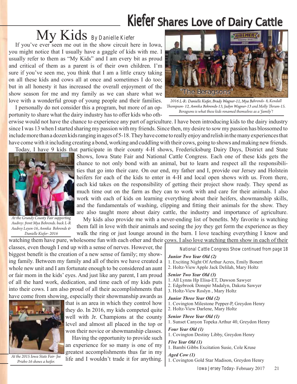# Kiefer Shares Love of Dairy Cattle

# My Kids *By Danielle Kiefer*

If you've ever seen me out in the show circuit here in Iowa, you might notice that I usually have a gaggle of kids with me. I usually refer to them as "My Kids" and I am every bit as proud and critical of them as a parent is of their own children. I'm sure if you've seen me, you think that I am a little crazy taking on all these kids and cows all at once and sometimes I do too; but in all honesty it has increased the overall enjoyment of the show season for me and my family as we can share what we love with a wonderful group of young people and their families.

I personally do not consider this a program, but more of an opportunity to share what the dairy industry has to offer kids who oth-



*2016 L-R: Danielle Kiefer, Brady Wagner-11, Mya Behrends- 8, Kendall Thompson- 12, Annika Behrends-13, Jadyn Wagner-13 and Molly Thrum-15. Beragsons is what these kids renamed themselves as a 'family'!*

erwise would not have the chance to experience any part of agriculture. I have been introducing kids to the dairy industry since I was 13 when I started sharing my passion with my friends. Since then, my desire to sow my passion has blossomed to include more than a dozen kids ranging in ages of 5-18. They have come to really enjoy and relish in the many experiences that have come with it including creating a bond, working and cuddling with their cows, going to shows and making new friends. Today, I have 9 kids that participate in their county 4-H shows, Fredericksburg Dairy Days, District and State



*At the Grundy County Fair supporting Audrey: front Mya Behrends. back L-R Audrey Leyen-16, Annika Behrends & Danielle Kiefer- 2016*

Shows, Iowa State Fair and National Cattle Congress. Each one of these kids gets the chance to not only bond with an animal, but to learn and respect all the responsibilities that go into their care. On our end, my father and I, provide our Jersey and Holstein heifers for each of the kids to enter in 4-H and local open shows with us. From there, each kid takes on the responsibility of getting their project show ready. They spend as much time out on the farm as they can to work with and care for their animals. I also work with each of kids on learning everything about their heifers, showmanship skills, and the fundamentals of washing, clipping and fitting their animals for the show. They are also taught more about dairy cattle, the industry and importance of agriculture.

My kids also provide me with a never-ending list of benefits. My favorite is watching them fall in love with their animals and seeing the joy they get form the experience as they walk the ring or just lounge around in the barn. I love teaching everything I know and

watching them have pure, wholesome fun with each other and their cows. I also love watching them show in each of their classes, even though I end up with a sense of nerves. However, the biggest benefit is the creation of a new sense of family; my showing family. Between my family and all of theirs we have created a whole new unit and I am fortunate enough to be considered an aunt or fair mom in the kids' eyes. And just like any parent, I am proud of all the hard work, dedication, and time each of my kids puts into their cows. I am also proud of all their accomplishments that have come from showing, especially their showmanship awards as



*At the 2015 Iowa State Fair- Joe Priebe-16 shows a heifer.*

that is an area in which they control how they do. In 2016, my kids competed quite well with Jr. Champions at the county level and almost all placed in the top or won their novice or showmanship classes.

Having the opportunity to provide such an experience for so many is one of my greatest accomplishments thus far in my

life and I wouldn't trade it for anything.

*National Cattle Congress Show continued from page 18*

#### *Junior Two Year Old (2)*

- 1. Exciting Night Of Arthur Acres, Emily Bonert
- 2. Holtz-View Apple Jack Delilah, Mary Holtz

#### *Senior Two Year Old (3)*

- 1. All Lynns Hp Elisa-ET, Dawson Sawyer
- 2. Edgebrook Donspir Madalyn, Dakota Sawyer
- 3. Holtz-View Roslyn , Mary Holtz

#### *Junior Three Year Old (2)*

- 1. Covington Milestone Pepper-P, Greydon Henry
- 2. Holtz-View Darlene, Mary Holtz

*Senior Three Year Old (1)*

1. Sunset Canyon Topeka Arthur 40, Greydon Henry

*Four Year Old (1)*

1. Covington Destiny Libby, Greydon Henry

#### *Five Year Old (1)*

1. Bambi Gibbs Excitation Susie, Cole Kruse

*Aged Cow (1)* 1. Covington Gold Star Madison, Greydon Henry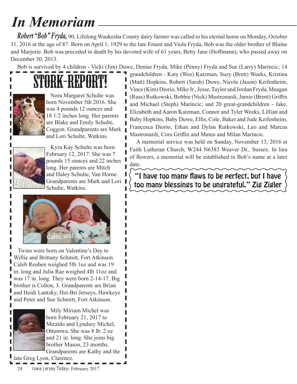# *In Memoriam*

*Robert "Bob" Fryda,* 90, Lifelong Waukesha County dairy farmer was called to his eternal home on Monday, October 31, 2016 at the age of 87. Born on April 1, 1929 to the late Ernest and Viola Fryda, Bob was the older brother of Blaine and Marjorie. Bob was preceded in death by his devoted wife of 61 years, Betty Jane (Hoffmann), who passed away on December 30, 2013.

Bob is survived by 4 children - Vicki (Jim) Duwe, Denise Fryda, Mike (Penny) Fryda and Sue (Larry) Marincic; 14

# STORK-REPORT



Nora Margaret Schulte was born November 5th 2016. She was 4 pounds 12 ounces and 18 1/2 inches long. Her parents are Blake and Emily Schulte, Coggon. Grandparents are Mark and Lori Schulte, Watkins.



ı ı

Kyra Kay Schulte was born February 12, 2017. She was 7 pounds 15 ounces and 22 inches long. Her parents are Mitch and Haley Schulte, Van Horne. Grandparents are Mark and Lori Schulte, Watkins.

Francesca Diorio, Ethan and Dylan Rutkowski, Leo and Marcus Mastronardi, Cora Griffin and Mateo and Milan Marincic. A memorial service was held on Sunday, November 13, 2016 at Faith Lutheran Church, W244 N6383 Weaver Dr., Sussex. In lieu of flowers, a memorial will be established in Bob's name at a later date.

> "I have too many flaws to be perfect, but I have<br>too many blessings to be ungrateful." Zig Zigler too many blessings to be ungrateful." Zig Zigler

grandchildren - Katy (Wes) Katzman, Suzy (Brett) Weeks, Kristina (Matt) Hopkins, Robert (Sarah) Duwe, Nicole (Jason) Keifenheim, Vince (Kim) Diorio, Mike Jr., Jesse, Taylor and Jordan Fryda, Meagan (Russ) Rutkowski, Bobbie (Nick) Mastronardi, Jamie (Brent) Griffin and Michael (Steph) Marincic; and 20 great-grandchildren - Jake, Elizabeth and Aaron Katzman, Connor and Tyler Weeks, Lillian and Baby Hopkins, Baby Duwe, Ellis, Cole, Baker and Jude Keifenheim,



Twins were born on Valentine's Day to Willie and Brittany Schmitt, Fort Atkinson. Caleb Reuben weighed 5lb 1oz and was 19 in. long and Julia Rae weighed 4lb 11oz and was 17 in. long. They were born 2-14-17. Big brother is Colton, 3. Grandparents are Brian and Heidi Lantzky, Hei-Bri Jerseys, Hawkeye and Peter and Sue Schmitt, Fort Atkinson.



Mily Miriam Michel was born February 21, 2017 to Miraldo and Lyndsey Michel, Ottumwa. She was 8 lb. 2 oz and 21 in. long. She joins big brother Mason, 23 months. Grandparents are Kathy and the

late Greg Lyon, Clarence.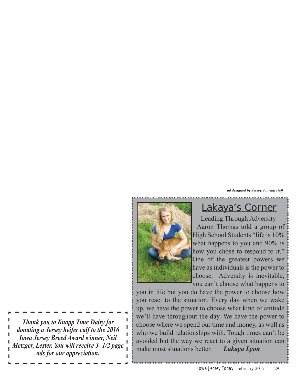*ad designed by Jersey Journal sta*ff



### Lakaya's Corner

Leading Through Adversity Aaron Thomas told a group of High School Students "life is 10% what happens to you and 90% is how you chose to respond to it." One of the greatest powers we have as individuals is the power to choose. Adversity is inevitable, you can't choose what happens to

you in life but you do have the power to choose how you react to the situation. Every day when we wake up, we have the power to choose what kind of attitude we'll have throughout the day. We have the power to choose where we spend our time and money, as well as who we build relationships with. Tough times can't be avoided but the way we react to a given situation can make most situations better. *Lakaya Lyon*

 $\mathbf{I}$ *Thank you to Knapp Time Dairy for*   $\mathbf{I}$ *donating a Jersey heifer calf to the 2016*   $\mathbf{I}$ *Iowa Jersey Breed Award winner, Neil*   $\mathbf{I}$ *Metzger, Lester. You will receive 3- 1/2 page ads for our appreciation.*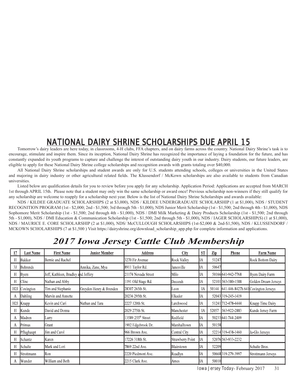### NATIONAL DAIRY SHRINE SCHOLARSHIPS DUE APRIL 15

Tomorrow's dairy leaders are here today, in classrooms, 4-H clubs, FFA chapters, and on dairy farms across the country. National Dairy Shrine's task is to encourage, stimulate and inspire them. Since its inception, National Dairy Shrine has recognized the importance of laying a foundation for the future, and has constantly expanded its youth programs to capture and challenge the interest of outstanding dairy youth in our industry. Dairy students, our future leaders, are eligible to apply for these National Dairy Shrine college scholarships and recognition awards with grants totaling over \$40,000.

All National Dairy Shrine scholarships and student awards are only for U.S. students attending schools, colleges or universities in the United States and majoring in dairy industry or other agricultural related fields. The Klussendorf / McKown scholarships are also available to students from Canadian universities.

Listed below are qualification details for you to review before you apply for any scholarship. Application Period: Applications are accepted from MARCH 1st through APRIL 15th. Please note that a student may only win the same scholarship or award once! Previous scholarship non-winners if they still qualify for any scholarship are welcome to reapply for a scholarship next year. Below is the list of National Dairy Shrine Scholarships and awards available:

NDS / KILDEE GRADUATE SCHOLARSHIPS (2 at \$3,000), NDS / KILDEE UNDERGRADUATE SCHOLARSHIP (1 at \$1,000), NDS / STUDENT RECOGNITION PROGRAM (1st - \$2,000; 2nd - \$1,500; 3rd through 5th - \$1,000), NDS Junior Merit Scholarship (1st - \$1,500; 2nd through 4th - \$1,000), NDS Sophomore Merit Scholarship (1st - \$1,500; 2nd through 4th - \$1,000), NDS / DMI Milk Marketing & Dairy Products Scholarship (1st - \$1,500; 2nd through 5th - \$1,000), NDS / DMI Education & Communication Scholarship (1st - \$1,500; 2nd through 5th - \$1,000), NDS / IAGER SCHOLARSHIP(S) (1 at \$1,000), NDS / MAURICE E. CORE SCHOLARSHIP (2 at \$1,000), NDS/ McCULLOUGH SCHOLARSHIPS (1st-\$2,000 & 2nd-\$1,500), NDS / KLUSSENDORF / MCKOWN SCHOLARSHIPS (7 at \$1,500) Visit https://dairyshrine.org/download scholarship app.php for complete information and applications.

### *2017 Iowa Jersey Cattle Club Membership*

| 17  | <b>Last Name</b> | <b>First Name</b>                   | <b>Junior Member</b>    | <b>Address</b>                 | <b>City</b>             | S <sub>T</sub> | Zip   | Phone                                     | <b>Farm Name</b>     |
|-----|------------------|-------------------------------------|-------------------------|--------------------------------|-------------------------|----------------|-------|-------------------------------------------|----------------------|
| H   | Bakker           | Bernie and Rachel                   |                         | 3270 Fir Avenue                | Rock Valley             | IIА            | 51247 |                                           | Rock Bottom Dairy    |
| 3J  | <b>Behrends</b>  |                                     | Annika, Zane, Mya       | 8911 Taylor Rd.                | Janesville              | IІА            | 50647 |                                           |                      |
| Н   | <b>Byers</b>     | Jeff, Kathleen, Bradley and Jeffery |                         | 21174 Nevada Street            | Milo                    | IA             |       | 50166 641-942-7768                        | Byers Dairy Farm     |
| Н   | Cline            | Nathan and Abby                     |                         | 1191 Old Stage Rd.             | Decorah                 | IІА            |       | 52101 563 - 380 - 1588                    | Golden Dream Jerseys |
| H2J | Covington        | Tim and Stephanie                   | Greyden Henry & Brenden | 28307 265th St.                | Leon                    | IA             |       | 50144 641-446-8427h 641 Covington Jerseys |                      |
| A   | Dahling          | Marvin and Annette                  |                         | 20236 295th St.                | Elkader                 | IІА            |       | 52043 319 245 - 1419                      |                      |
| H2J | Knapp            | Kevin and Cari                      | Nathan and Tara         | 2227 120th St.                 | Larchwood               | IІА            |       | 51241 712-478-4444                        | Knapp Time Dairy     |
| H   | Kunde            | David and Donna                     |                         | 2029 275th St.                 | Manchester              | IA             | 52057 | 563-922-2883                              | Kunde Jersey Farm    |
| A   | Madren           | Larry                               |                         | 13589 255 <sup>th</sup> Street | Redfield                | IІА            |       | 50233 641-744-2409                        |                      |
| A   | Primus           | Grant                               |                         | 1902 Edgebrook Dr.             | Marshalltown            | IІА            | 50158 |                                           |                      |
| Н   | Pflughaupt       | Jim and Carol                       |                         | 966 Brown Ave.                 | Central City            | IA             |       | 52214 319 - 438 - 1460                    | Ja-Glo Jerseys       |
| Н   | Schantz          | Karen                               |                         | 17226 318th St.                | <b>Strawberry Point</b> | IІА            |       | 52076 563 - 933 - 2232                    |                      |
| Н   | Schulte          | Mark and Lori                       |                         | 7869 22nd Ave.                 | Blairstown              | IIA            | 52209 |                                           | Schulte Bros.        |
| Н   | Strottmann       | Ron                                 |                         | 2220 Piedmont Ave.             | Readlyn                 | IІА            |       | 50668 319-279-3997                        | Strottmann Jerseys   |
| A   | <b>Wunder</b>    | William and Beth                    |                         | 2215 Clark Ave.                | Ames                    | IІA            | 50010 |                                           |                      |